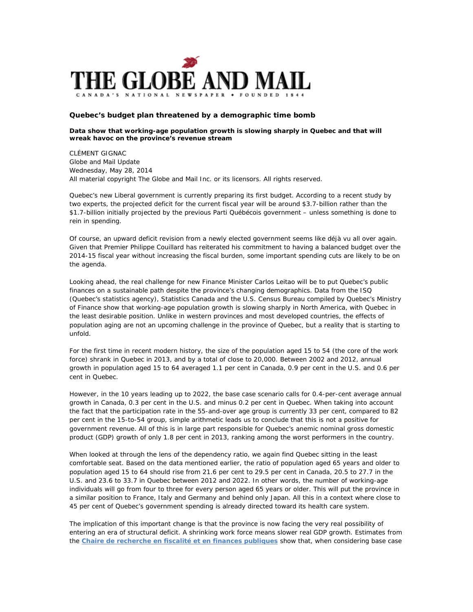

## **Quebec's budget plan threatened by a demographic time bomb**

## **Data show that working-age population growth is slowing sharply in Quebec and that will wreak havoc on the province's revenue stream**

CLÉMENT GIGNAC Globe and Mail Update Wednesday, May 28, 2014 All material copyright The Globe and Mail Inc. or its licensors. All rights reserved.

Quebec's new Liberal government is currently preparing its first budget. According to a recent study by two experts, the projected deficit for the current fiscal year will be around \$3.7-billion rather than the \$1.7-billion initially projected by the previous Parti Québécois government – unless something is done to rein in spending.

Of course, an upward deficit revision from a newly elected government seems like déjà vu all over again. Given that Premier Philippe Couillard has reiterated his commitment to having a balanced budget over the 2014-15 fiscal year without increasing the fiscal burden, some important spending cuts are likely to be on the agenda.

Looking ahead, the real challenge for new Finance Minister Carlos Leitao will be to put Quebec's public finances on a sustainable path despite the province's changing demographics. Data from the ISQ (Quebec's statistics agency), Statistics Canada and the U.S. Census Bureau compiled by Quebec's Ministry of Finance show that working-age population growth is slowing sharply in North America, with Quebec in the least desirable position. Unlike in western provinces and most developed countries, the effects of population aging are not an upcoming challenge in the province of Quebec, but a reality that is starting to unfold.

For the first time in recent modern history, the size of the population aged 15 to 54 (the core of the work force) shrank in Quebec in 2013, and by a total of close to 20,000. Between 2002 and 2012, annual growth in population aged 15 to 64 averaged 1.1 per cent in Canada, 0.9 per cent in the U.S. and 0.6 per cent in Quebec.

However, in the 10 years leading up to 2022, the base case scenario calls for 0.4-per-cent average annual growth in Canada, 0.3 per cent in the U.S. and minus 0.2 per cent in Quebec. When taking into account the fact that the participation rate in the 55-and-over age group is currently 33 per cent, compared to 82 per cent in the 15-to-54 group, simple arithmetic leads us to conclude that this is not a positive for government revenue. All of this is in large part responsible for Quebec's anemic nominal gross domestic product (GDP) growth of only 1.8 per cent in 2013, ranking among the worst performers in the country.

When looked at through the lens of the dependency ratio, we again find Quebec sitting in the least comfortable seat. Based on the data mentioned earlier, the ratio of population aged 65 years and older to population aged 15 to 64 should rise from 21.6 per cent to 29.5 per cent in Canada, 20.5 to 27.7 in the U.S. and 23.6 to 33.7 in Quebec between 2012 and 2022. In other words, the number of working-age individuals will go from four to three for every person aged 65 years or older. This will put the province in a similar position to France, Italy and Germany and behind only Japan. All this in a context where close to 45 per cent of Quebec's government spending is already directed toward its health care system.

The implication of this important change is that the province is now facing the very real possibility of entering an era of structural deficit. A shrinking work force means slower real GDP growth. Estimates from the **[Chaire de recherche en fiscalité et en finances publiques](https://remote.globeandmail.ca/documents/pdf/,DanaInfo=.awxyCpjjl3xs2Lp21+soutenabilite_budgetaire.pdf)** show that, when considering base case